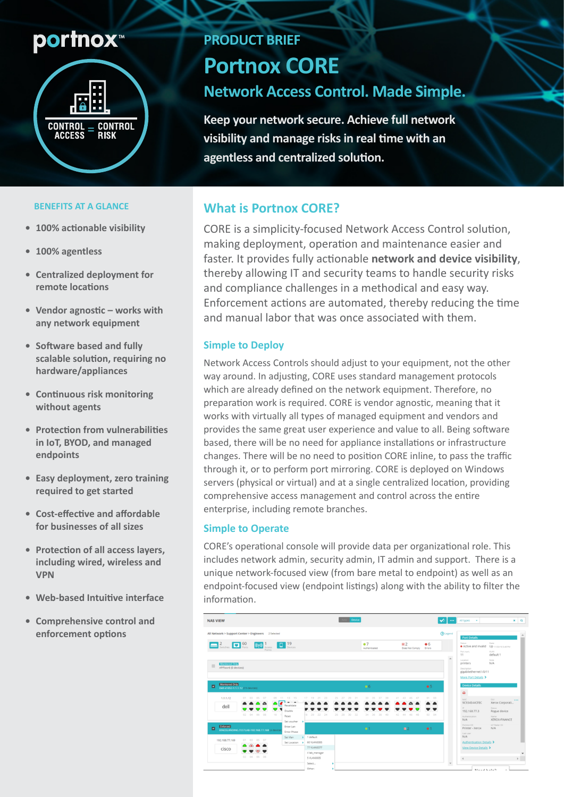# **portnox**™



#### **BENEFITS AT A GLANCE**

- **100% actionable visibility**
- 100% agentless
- **Centralized deployment for remote** locations
- Vendor agnostic works with any network equipment
- **•** Software based and fully scalable solution, requiring no **appliances/hardware**
- **Continuous risk monitoring** without agents
- **•** Protection from vulnerabilities in **IoT.** BYOD, and managed **endpoints**
- **Easy deployment, zero training** required to get started
- **•** Cost-effective and affordable for businesses of all sizes
- **Protection of all access layers,** including wired, wireless and **VPN**
- **Web-based Intuitive interface**
- **Comprehensive control and** enforcement options

## **PRODUCT BRIEF**

**Portnox CORE** 

# **Network Access Control. Made Simple.**

**Keep your network secure. Achieve full network visibility and manage risks in real time with an** agentless and centralized solution.

### **What is Portnox CORE?**

CORE is a simplicity-focused Network Access Control solution. making deployment, operation and maintenance easier and faster. It provides fully actionable network and device visibility, thereby allowing IT and security teams to handle security risks and compliance challenges in a methodical and easy way. Enforcement actions are automated, thereby reducing the time and manual labor that was once associated with them.

#### **Simple to Deploy**

Network Access Controls should adjust to your equipment, not the other way around. In adjusting, CORE uses standard management protocols which are already defined on the network equipment. Therefore, no preparation work is required. CORE is vendor agnostic, meaning that it works with virtually all types of managed equipment and vendors and provides the same great user experience and value to all. Being software based, there will be no need for appliance installations or infrastructure changes. There will be no need to position CORE inline, to pass the traffic through it, or to perform port mirroring. CORE is deployed on Windows servers (physical or virtual) and at a single centralized location, providing comprehensive access management and control across the entire enterprise, including remote branches.

#### **Simple to Operate**

CORE's operational console will provide data per organizational role. This includes network admin, security admin, IT admin and support. There is a unique network-focused view (from bare metal to endpoint) as well as an endpoint-focused view (endpoint listings) along with the ability to filter the information.

| <b>NAS VIEW</b>                                                                                                                                                                                |                                                                                                                               | Device                             |                               |                                                                              | M.<br>$\cdots$<br>All types -                                           | $x \mid Q$                                                                                    |
|------------------------------------------------------------------------------------------------------------------------------------------------------------------------------------------------|-------------------------------------------------------------------------------------------------------------------------------|------------------------------------|-------------------------------|------------------------------------------------------------------------------|-------------------------------------------------------------------------|-----------------------------------------------------------------------------------------------|
| All Network > Support Center > Engineers 2 Selected                                                                                                                                            |                                                                                                                               |                                    |                               |                                                                              | <b>D</b> Legend<br><b>Port Details</b>                                  |                                                                                               |
| $\begin{array}{ c c c c c c c c }\hline \text{num} & 2 & 60 & ((\text{e} & & 1) & 19 \\\hline \text{Switches} & \text{Potts} & \text{factors} & \text{u} & \text{Dences} \\\hline \end{array}$ |                                                                                                                               |                                    | $^{\circ}$ 7<br>Authenticated | E2<br>66<br>Does Not Comply Errors                                           | Status<br>Active and invalid<br>Port num.                               | State<br><b>Up</b> 11/23/18 3:48 РМ<br>VLAN                                                   |
| <b>Monitored Only</b><br>▦<br>APFloor6 (0 devices)                                                                                                                                             |                                                                                                                               |                                    |                               | 11<br>$\Delta$<br>Location<br>printers<br>Description<br>More Port Details > | default 1<br>Note<br>N/A<br>gigabitethernet1/0/11                       |                                                                                               |
| Monitored Only<br>06<br>▣<br>Dell-x1052-1.1.1.12 (15 devices)                                                                                                                                  |                                                                                                                               |                                    | 65                            | <b>Device Details</b><br>$\Box$                                              |                                                                         |                                                                                               |
| 1.1.1.12<br>01 03 05 07<br>09 11<br>$\overline{\bullet}$ $\overline{\bullet}$<br>o<br>dell<br>ч<br>v<br>02  04  06  08<br>10                                                                   | 13 15<br>$17 - 19$<br>21<br>$ -$<br>Revalidate<br>Disable<br>8 20 22 24<br>Reset<br>Set voucher >                             | 32 <sup>0</sup><br>26 28<br>$30 -$ | 42<br>34.<br>40<br>36<br>38   | $01 - 03$<br>$-4.3$<br>45<br>-47<br>48<br>$02 - 04$<br>46<br>$-4.4$          | MAC.<br>9C934E44CFEC<br>$\sim$<br>192.168.77.3<br>Authentication<br>N/A | OUT.<br>1.11<br>Xerox Corporati<br>Status.<br>Rogue device<br>Name<br>XEROX-FINANCE           |
| <b>Enforced</b><br>ø<br>KINGSLANDING.TESTLAB-192.168.77.169 (4 device)                                                                                                                         | Enter Lan<br><b>Enter Phase</b>                                                                                               |                                    | $^{\circ}$ 1                  | H <sub>2</sub><br>•1                                                         | Portnox OS<br>Printer - Xerox<br>Last user<br>N/A                       | loT Radar OS<br>N/A                                                                           |
| 192.168.77.169<br>01 03 05 07<br>cisco<br>$\overline{C}$<br>02  04  06  08                                                                                                                     | $\vert$ 1 default<br>Set Wan<br>66 VLAN0066<br>Set Location<br>77 VLAN0077<br>4 lab_manager<br>5 VLAN0005<br>Select<br>Other: |                                    |                               |                                                                              | $\rightarrow$<br>$\ ^{\ast}$                                            | <b>Authentication Details &gt;</b><br>View Device Details ><br><b>FILE</b><br>Alexandrication |